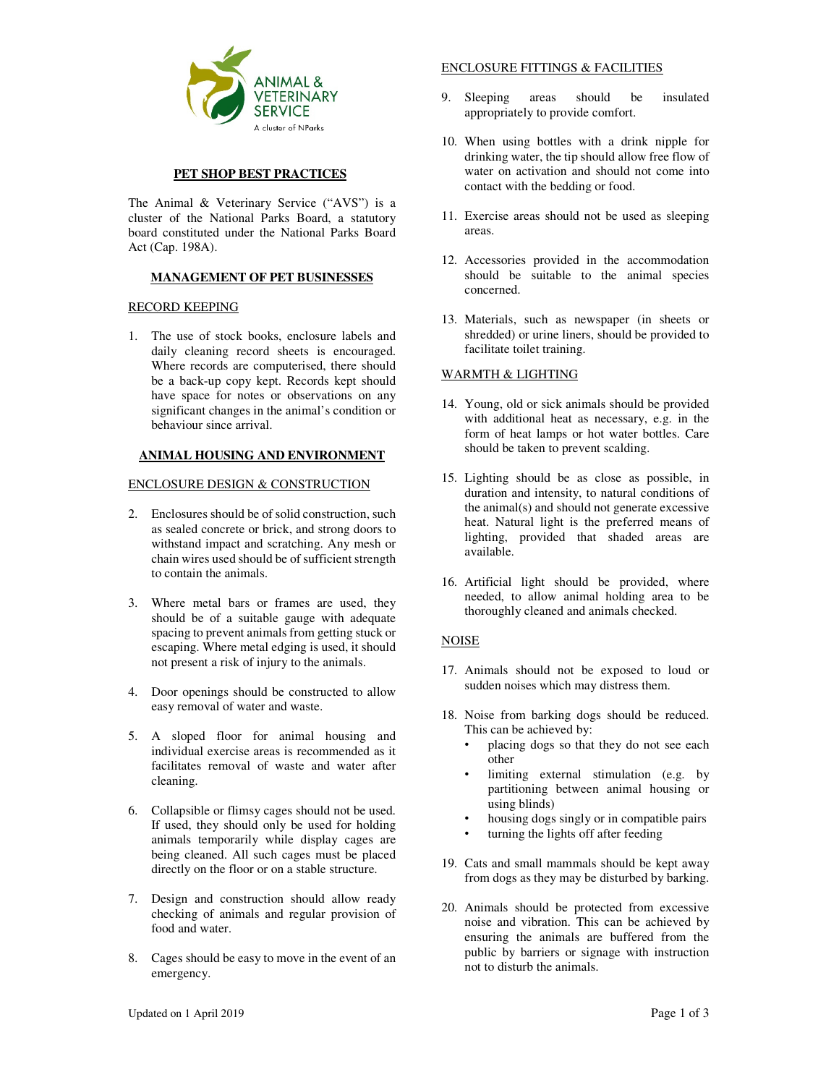

## **PET SHOP BEST PRACTICES**

The Animal & Veterinary Service ("AVS") is a cluster of the National Parks Board, a statutory board constituted under the National Parks Board Act (Cap. 198A).

## **MANAGEMENT OF PET BUSINESSES**

## RECORD KEEPING

1. The use of stock books, enclosure labels and daily cleaning record sheets is encouraged. Where records are computerised, there should be a back-up copy kept. Records kept should have space for notes or observations on any significant changes in the animal's condition or behaviour since arrival.

## **ANIMAL HOUSING AND ENVIRONMENT**

## ENCLOSURE DESIGN & CONSTRUCTION

- 2. Enclosures should be of solid construction, such as sealed concrete or brick, and strong doors to withstand impact and scratching. Any mesh or chain wires used should be of sufficient strength to contain the animals.
- 3. Where metal bars or frames are used, they should be of a suitable gauge with adequate spacing to prevent animals from getting stuck or escaping. Where metal edging is used, it should not present a risk of injury to the animals.
- 4. Door openings should be constructed to allow easy removal of water and waste.
- 5. A sloped floor for animal housing and individual exercise areas is recommended as it facilitates removal of waste and water after cleaning.
- 6. Collapsible or flimsy cages should not be used. If used, they should only be used for holding animals temporarily while display cages are being cleaned. All such cages must be placed directly on the floor or on a stable structure.
- 7. Design and construction should allow ready checking of animals and regular provision of food and water.
- 8. Cages should be easy to move in the event of an emergency.

# ENCLOSURE FITTINGS & FACILITIES

- 9. Sleeping areas should be insulated appropriately to provide comfort.
- 10. When using bottles with a drink nipple for drinking water, the tip should allow free flow of water on activation and should not come into contact with the bedding or food.
- 11. Exercise areas should not be used as sleeping areas.
- 12. Accessories provided in the accommodation should be suitable to the animal species concerned.
- 13. Materials, such as newspaper (in sheets or shredded) or urine liners, should be provided to facilitate toilet training.

## WARMTH & LIGHTING

- 14. Young, old or sick animals should be provided with additional heat as necessary, e.g. in the form of heat lamps or hot water bottles. Care should be taken to prevent scalding.
- 15. Lighting should be as close as possible, in duration and intensity, to natural conditions of the animal(s) and should not generate excessive heat. Natural light is the preferred means of lighting, provided that shaded areas are available.
- 16. Artificial light should be provided, where needed, to allow animal holding area to be thoroughly cleaned and animals checked.

## **NOISE**

- 17. Animals should not be exposed to loud or sudden noises which may distress them.
- 18. Noise from barking dogs should be reduced. This can be achieved by:
	- placing dogs so that they do not see each other
	- limiting external stimulation (e.g. by partitioning between animal housing or using blinds)
	- housing dogs singly or in compatible pairs
	- turning the lights off after feeding
- 19. Cats and small mammals should be kept away from dogs as they may be disturbed by barking.
- 20. Animals should be protected from excessive noise and vibration. This can be achieved by ensuring the animals are buffered from the public by barriers or signage with instruction not to disturb the animals.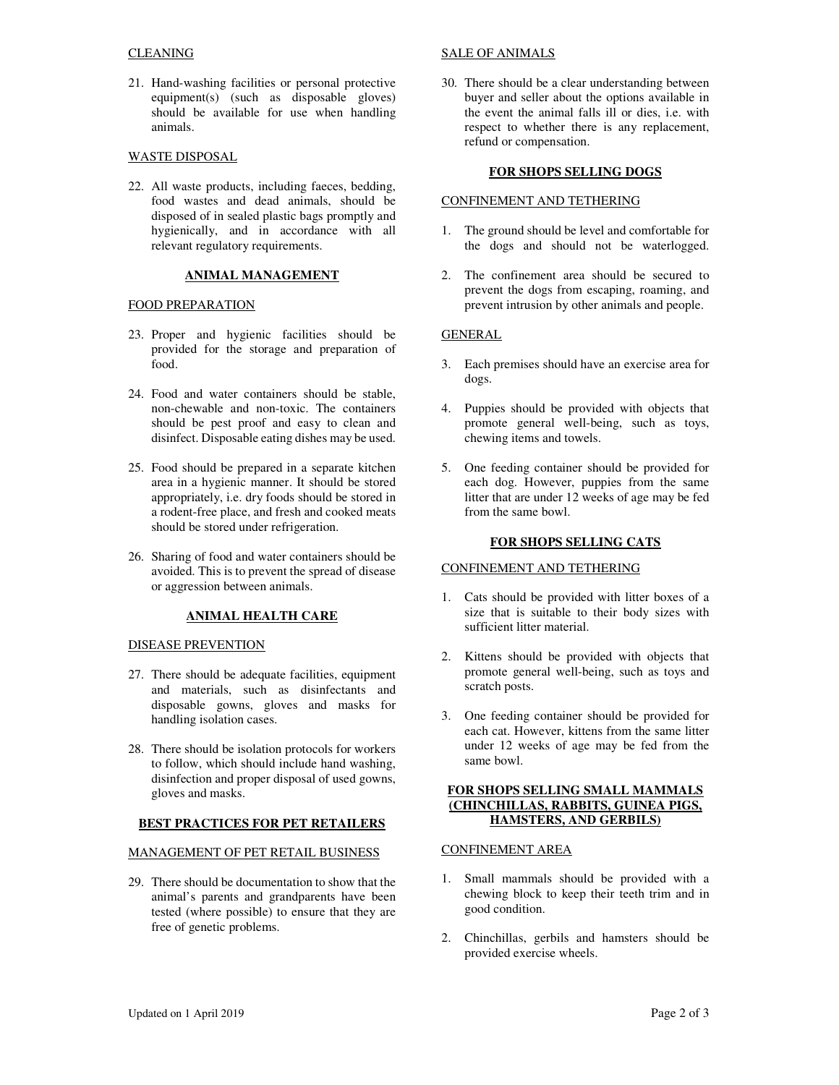## CLEANING

21. Hand-washing facilities or personal protective equipment(s) (such as disposable gloves) should be available for use when handling animals.

## WASTE DISPOSAL

22. All waste products, including faeces, bedding, food wastes and dead animals, should be disposed of in sealed plastic bags promptly and hygienically, and in accordance with all relevant regulatory requirements.

# **ANIMAL MANAGEMENT**

#### FOOD PREPARATION

- 23. Proper and hygienic facilities should be provided for the storage and preparation of food.
- 24. Food and water containers should be stable, non-chewable and non-toxic. The containers should be pest proof and easy to clean and disinfect. Disposable eating dishes may be used.
- 25. Food should be prepared in a separate kitchen area in a hygienic manner. It should be stored appropriately, i.e. dry foods should be stored in a rodent-free place, and fresh and cooked meats should be stored under refrigeration.
- 26. Sharing of food and water containers should be avoided. This is to prevent the spread of disease or aggression between animals.

#### **ANIMAL HEALTH CARE**

#### DISEASE PREVENTION

- 27. There should be adequate facilities, equipment and materials, such as disinfectants and disposable gowns, gloves and masks for handling isolation cases.
- 28. There should be isolation protocols for workers to follow, which should include hand washing, disinfection and proper disposal of used gowns, gloves and masks.

#### **BEST PRACTICES FOR PET RETAILERS**

#### MANAGEMENT OF PET RETAIL BUSINESS

29. There should be documentation to show that the animal's parents and grandparents have been tested (where possible) to ensure that they are free of genetic problems.

#### SALE OF ANIMALS

30. There should be a clear understanding between buyer and seller about the options available in the event the animal falls ill or dies, i.e. with respect to whether there is any replacement, refund or compensation.

## **FOR SHOPS SELLING DOGS**

#### CONFINEMENT AND TETHERING

- 1. The ground should be level and comfortable for the dogs and should not be waterlogged.
- 2. The confinement area should be secured to prevent the dogs from escaping, roaming, and prevent intrusion by other animals and people.

## **GENERAL**

- 3. Each premises should have an exercise area for dogs.
- 4. Puppies should be provided with objects that promote general well-being, such as toys, chewing items and towels.
- 5. One feeding container should be provided for each dog. However, puppies from the same litter that are under 12 weeks of age may be fed from the same bowl.

## **FOR SHOPS SELLING CATS**

#### CONFINEMENT AND TETHERING

- 1. Cats should be provided with litter boxes of a size that is suitable to their body sizes with sufficient litter material.
- 2. Kittens should be provided with objects that promote general well-being, such as toys and scratch posts.
- 3. One feeding container should be provided for each cat. However, kittens from the same litter under 12 weeks of age may be fed from the same bowl.

## **FOR SHOPS SELLING SMALL MAMMALS (CHINCHILLAS, RABBITS, GUINEA PIGS, HAMSTERS, AND GERBILS)**

## CONFINEMENT AREA

- 1. Small mammals should be provided with a chewing block to keep their teeth trim and in good condition.
- 2. Chinchillas, gerbils and hamsters should be provided exercise wheels.